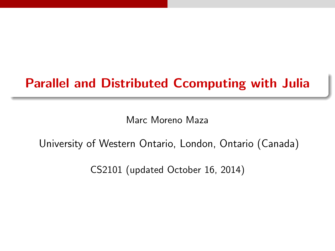# Parallel and Distributed Ccomputing with Julia

Marc Moreno Maza

# University of Western Ontario, London, Ontario (Canada)

CS2101 (updated October 16, 2014)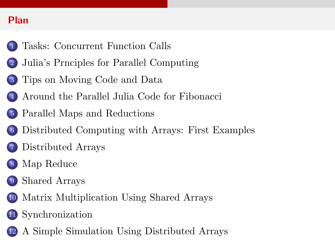## Plan

- [Tasks: Concurrent Function Calls](#page-2-0)
- [Julia's Prnciples for Parallel Computing](#page-8-0)
- [Tips on Moving Code and Data](#page-14-0)
- [Around the Parallel Julia Code for Fibonacci](#page-24-0)
- [Parallel Maps and Reductions](#page-29-0)
	- [Distributed Computing with Arrays: First Examples](#page-36-0)
	- [Distributed Arrays](#page-42-0)
- [Map Reduce](#page-50-0)
- [Shared Arrays](#page-55-0)
- [Matrix Multiplication Using Shared Arrays](#page-62-0)
- [Synchronization](#page-68-0)
- [A Simple Simulation Using Distributed Arrays](#page-73-0)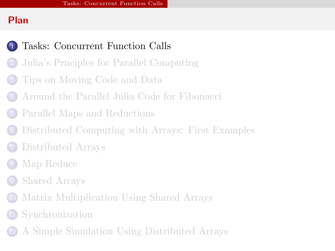## Plan



# [Tasks: Concurrent Function Calls](#page-2-0)

- [Julia's Prnciples for Parallel Computing](#page-8-0)
- [Tips on Moving Code and Data](#page-14-0)
- [Around the Parallel Julia Code for Fibonacci](#page-24-0)
- [Parallel Maps and Reductions](#page-29-0)
- [Distributed Computing with Arrays: First Examples](#page-36-0)
- [Distributed Arrays](#page-42-0)
- [Map Reduce](#page-50-0)
- [Shared Arrays](#page-55-0)
- [Matrix Multiplication Using Shared Arrays](#page-62-0)
- **[Synchronization](#page-68-0)**
- <span id="page-2-0"></span>[A Simple Simulation Using Distributed Arrays](#page-73-0)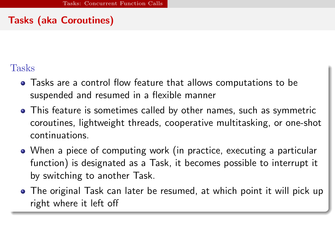## Tasks (aka Coroutines)

# Tasks

- Tasks are a control flow feature that allows computations to be suspended and resumed in a flexible manner
- This feature is sometimes called by other names, such as symmetric coroutines, lightweight threads, cooperative multitasking, or one-shot continuations.
- When a piece of computing work (in practice, executing a particular function) is designated as a Task, it becomes possible to interrupt it by switching to another Task.
- <span id="page-3-0"></span>The original Task can later be resumed, at which point it will pick up right where it left off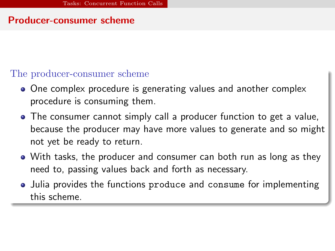### Producer-consumer scheme

#### The producer-consumer scheme

- One complex procedure is generating values and another complex procedure is consuming them.
- The consumer cannot simply call a producer function to get a value, because the producer may have more values to generate and so might not yet be ready to return.
- With tasks, the producer and consumer can both run as long as they need to, passing values back and forth as necessary.
- <span id="page-4-0"></span>• Julia provides the functions produce and consume for implementing this scheme.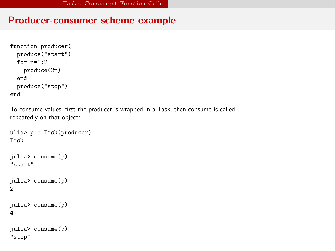## Producer-consumer scheme example

```
function producer()
 produce("start")
 for n=1:2
    produce(2n)
 end
 produce("stop")
end
```
To consume values, first the producer is wrapped in a Task, then consume is called repeatedly on that object:

```
ulia> p = Task(producer)
Task
julia> consume(p)
"start"
julia> consume(p)
\mathfrak{D}julia> consume(p)
4
julia> consume(p)
"stop"
```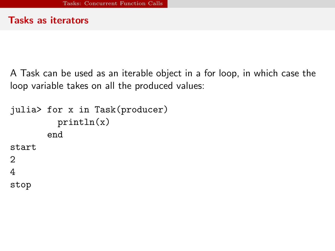#### Tasks as iterators

A Task can be used as an iterable object in a for loop, in which case the loop variable takes on all the produced values:

```
julia> for x in Task(producer)
         println(x)
       end
start
2
4
stop
```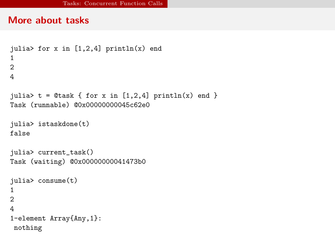#### More about tasks

```
julia> for x in [1,2,4] println(x) end
1
2
4
julia> t = 0task { for x in [1,2,4] println(x) end }
Task (runnable) @0x00000000045c62e0
julia> istaskdone(t)
false
julia> current_task()
Task (waiting) @0x00000000041473b0
julia> consume(t)
1
2
4
1-element Array{Any,1}:
nothing
```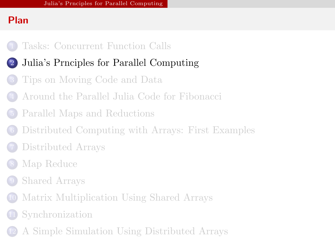## Plan

- [Tasks: Concurrent Function Calls](#page-2-0)
- [Julia's Prnciples for Parallel Computing](#page-8-0)
	- [Tips on Moving Code and Data](#page-14-0)
- [Around the Parallel Julia Code for Fibonacci](#page-24-0)
- [Parallel Maps and Reductions](#page-29-0)
- [Distributed Computing with Arrays: First Examples](#page-36-0)
- [Distributed Arrays](#page-42-0)
- [Map Reduce](#page-50-0)
- [Shared Arrays](#page-55-0)
- [Matrix Multiplication Using Shared Arrays](#page-62-0)
- **[Synchronization](#page-68-0)**
- <span id="page-8-0"></span>[A Simple Simulation Using Distributed Arrays](#page-73-0)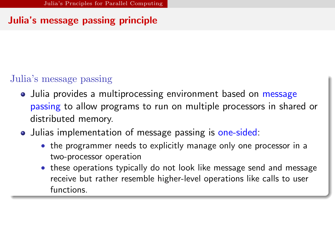## Julia's message passing principle

## Julia's message passing

- Julia provides a multiprocessing environment based on message passing to allow programs to run on multiple processors in shared or distributed memory.
- <span id="page-9-0"></span>• Julias implementation of message passing is one-sided:
	- the programmer needs to explicitly manage only one processor in a two-processor operation
	- these operations typically do not look like message send and message receive but rather resemble higher-level operations like calls to user functions.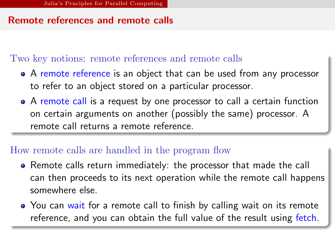### Remote references and remote calls

#### Two key notions: remote references and remote calls

- A remote reference is an object that can be used from any processor to refer to an object stored on a particular processor.
- A remote call is a request by one processor to call a certain function on certain arguments on another (possibly the same) processor. A remote call returns a remote reference.

#### How remote calls are handled in the program flow

- Remote calls return immediately: the processor that made the call can then proceeds to its next operation while the remote call happens somewhere else.
- <span id="page-10-0"></span>• You can wait for a remote call to finish by calling wait on its remote reference, and you can obtain the full value of the result using fetch.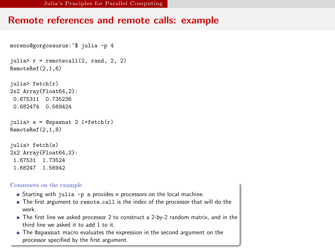#### Remote references and remote calls: example

```
moreno@gorgosaurus:~$ julia -p 4
julia> r = remotecall(2, rand, 2, 2)
RemoteRef(2,1,6)
julia> fetch(r)
2x2 Array{Float64,2}:
 0.675311 0.735236
 0.682474 0.569424
julia> s = 0spawnat 2 1+fetch(r)RemoteRef(2,1,8)
julia> fetch(s)
2x2 Array{Float64,2}:
 1.67531 1.73524
 1.68247 1.56942
```
#### Commnets on the example

- Starting with julia -p n provides n processors on the local machine.
- The first argument to remote call is the index of the processor that will do the work.
- The first line we asked processor 2 to construct a 2-by-2 random matrix, and in the third line we asked it to add 1 to it.
- <span id="page-11-0"></span>The @spawnat macro evaluates the expression in the second argument on the processor specified by the first argument.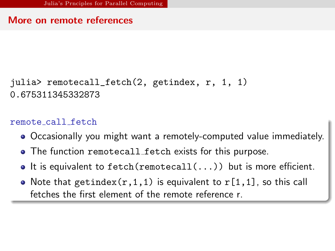#### More on remote references

```
julia> remotecall_fetch(2, getindex, r, 1, 1)
0.675311345332873
```
#### remote call fetch

- Occasionally you might want a remotely-computed value immediately.
- The function remotecall fetch exists for this purpose.
- $\bullet$  It is equivalent to fetch(remotecall(...)) but is more efficient.
- <span id="page-12-0"></span>• Note that getindex $(r,1,1)$  is equivalent to  $r[1,1]$ , so this call fetches the first element of the remote reference r.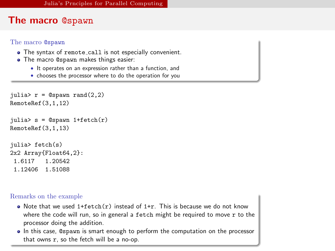#### The macro @spawn

#### The macro @spawn

- The syntax of remote call is not especially convenient.
- **•** The macro @spawn makes things easier:
	- It operates on an expression rather than a function, and
	- chooses the processor where to do the operation for you

```
julia> r = 0spawn rand(2,2)RemoteRef(3,1,12)
julia> s = 0spawn 1+fetch(r)
RemoteRef(3,1,13)
julia> fetch(s)
2x2 Array{Float64, 2:<br>1.6117 1.20542
 1.6117
 1.12406 1.51088
```
Remarks on the example

- Note that we used  $1+fetch(r)$  instead of  $1+r$ . This is because we do not know where the code will run, so in general a fetch might be required to move  $r$  to the processor doing the addition.
- <span id="page-13-0"></span>In this case, @spawn is smart enough to perform the computation on the processor that owns <sup>r</sup>, so the fetch will be a no-op.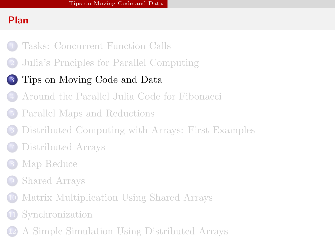## Plan

- [Tasks: Concurrent Function Calls](#page-2-0)
- [Julia's Prnciples for Parallel Computing](#page-8-0)

# [Tips on Moving Code and Data](#page-14-0)

- [Around the Parallel Julia Code for Fibonacci](#page-24-0)
- [Parallel Maps and Reductions](#page-29-0)
- [Distributed Computing with Arrays: First Examples](#page-36-0)
- [Distributed Arrays](#page-42-0)
- [Map Reduce](#page-50-0)
- [Shared Arrays](#page-55-0)
- [Matrix Multiplication Using Shared Arrays](#page-62-0)
- **[Synchronization](#page-68-0)**
- <span id="page-14-0"></span>[A Simple Simulation Using Distributed Arrays](#page-73-0)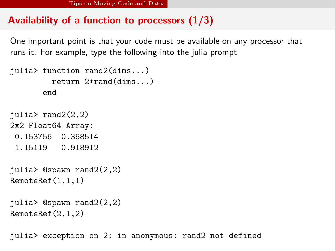## Availability of a function to processors  $(1/3)$

One important point is that your code must be available on any processor that runs it. For example, type the following into the julia prompt

```
julia> function rand2(dims...)
         return 2*rand(dims...)
       end
julia> rand2(2,2)
2x2 Float64 Array:
0.153756 0.368514
 1.15119 0.918912
julia> @spawn rand2(2,2)
RemoteRef(1,1,1)
```

```
julia> @spawn rand2(2,2)
RemoteRef(2,1,2)
```
<span id="page-15-0"></span>julia> exception on 2: in anonymous: rand2 not defined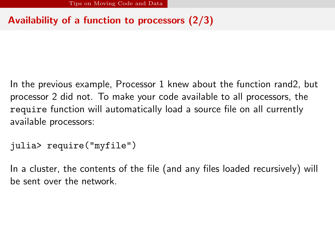## Availability of a function to processors (2/3)

In the previous example, Processor 1 knew about the function rand2, but processor 2 did not. To make your code available to all processors, the require function will automatically load a source file on all currently available processors:

```
julia> require("myfile")
```
<span id="page-16-0"></span>In a cluster, the contents of the file (and any files loaded recursively) will be sent over the network.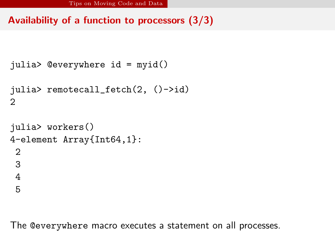## Availability of a function to processors (3/3)

```
julia> @everywhere id = myid()
julia> remotecall_fetch(2, ()->id)
2
julia> workers()
4-element Array{Int64,1}:
2
3
4
5
```
<span id="page-17-0"></span>The @everywhere macro executes a statement on all processes.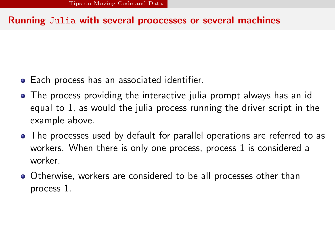### Running Julia with several proocesses or several machines

- Each process has an associated identifier.
- The process providing the interactive julia prompt always has an id equal to 1, as would the julia process running the driver script in the example above.
- The processes used by default for parallel operations are referred to as workers. When there is only one process, process 1 is considered a worker.
- <span id="page-18-0"></span>Otherwise, workers are considered to be all processes other than process 1.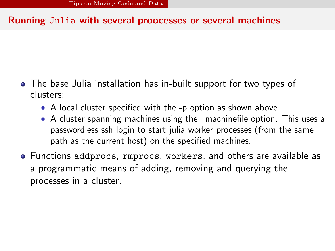### Running Julia with several proocesses or several machines

- The base Julia installation has in-built support for two types of clusters:
	- A local cluster specified with the -p option as shown above.
	- A cluster spanning machines using the –machinefile option. This uses a passwordless ssh login to start julia worker processes (from the same path as the current host) on the specified machines.
- <span id="page-19-0"></span>Functions addprocs, rmprocs, workers, and others are available as a programmatic means of adding, removing and querying the processes in a cluster.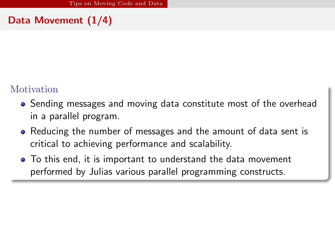## Data Movement (1/4)

## Motivation

- Sending messages and moving data constitute most of the overhead in a parallel program.
- Reducing the number of messages and the amount of data sent is critical to achieving performance and scalability.
- <span id="page-20-0"></span>To this end, it is important to understand the data movement performed by Julias various parallel programming constructs.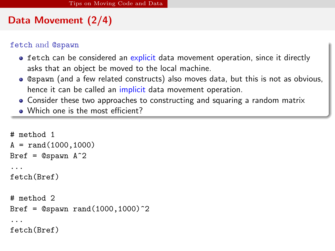## Data Movement (2/4)

#### fetch and @spawn

- **•** fetch can be considered an explicit data movement operation, since it directly asks that an object be moved to the local machine.
- @spawn (and a few related constructs) also moves data, but this is not as obvious, hence it can be called an *implicit* data movement operation.
- Consider these two approaches to constructing and squaring a random matrix
- Which one is the most efficient?

```
# method 1
A = \text{rand}(1000, 1000)Bref = @spawn A^2...
fetch(Bref)
# method 2
Bref = @spawn rand(1000, 1000)^{\text{-}}2...
fetch(Bref)
```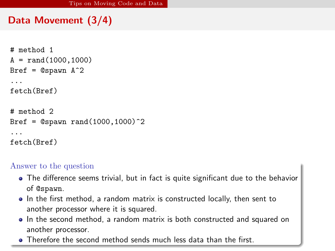## Data Movement (3/4)

```
# method 1
A = \text{rand}(1000, 1000)Bref = @spawn A^2...
fetch(Bref)
# method 2
Bref = @spam rand(1000, 1000)^2...
fetch(Bref)
```
#### Answer to the question

- The difference seems trivial, but in fact is quite significant due to the behavior of @spawn.
- In the first method, a random matrix is constructed locally, then sent to another processor where it is squared.
- In the second method, a random matrix is both constructed and squared on another processor.
- <span id="page-22-0"></span>**•** Therefore the second method sends much less data than the first.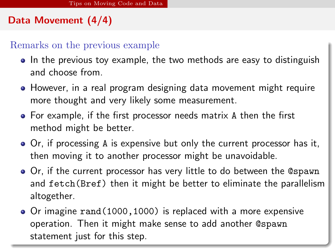## Data Movement (4/4)

#### Remarks on the previous example

- In the previous toy example, the two methods are easy to distinguish and choose from.
- However, in a real program designing data movement might require more thought and very likely some measurement.
- For example, if the first processor needs matrix A then the first method might be better.
- Or, if processing A is expensive but only the current processor has it, then moving it to another processor might be unavoidable.
- Or, if the current processor has very little to do between the @spawn and fetch(Bref) then it might be better to eliminate the parallelism altogether.
- <span id="page-23-0"></span>• Or imagine rand (1000, 1000) is replaced with a more expensive operation. Then it might make sense to add another @spawn statement just for this step.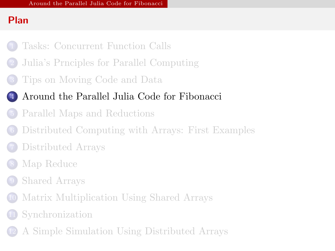## Plan

- [Tasks: Concurrent Function Calls](#page-2-0)
- [Julia's Prnciples for Parallel Computing](#page-8-0)
- [Tips on Moving Code and Data](#page-14-0)
- [Around the Parallel Julia Code for Fibonacci](#page-24-0)
	- [Parallel Maps and Reductions](#page-29-0)
- [Distributed Computing with Arrays: First Examples](#page-36-0)
- [Distributed Arrays](#page-42-0)
- [Map Reduce](#page-50-0)
- [Shared Arrays](#page-55-0)
- [Matrix Multiplication Using Shared Arrays](#page-62-0)
- **[Synchronization](#page-68-0)**
- <span id="page-24-0"></span>[A Simple Simulation Using Distributed Arrays](#page-73-0)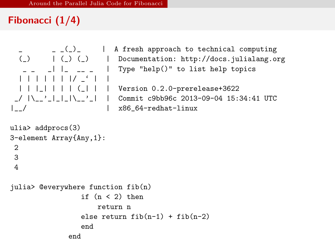# Fibonacci (1/4)

```
| | | | | | |/ _' | |
|__/ | x86_64-redhat-linux
```

```
\begin{bmatrix} 2 \\ -1 \end{bmatrix} | A fresh approach to technical computing
(_) | (_) (_) | Documentation: http://docs.julialang.org<br>
- - | | - - - | Type "help()" to list help topics
                             | Type "help()" to list help topics
```
| | |\_| | | | (\_| | | Version 0.2.0-prerelease+3622 Commit c9bb96c 2013-09-04 15:34:41 UTC

```
ulia> addprocs(3)
3-element Array{Any,1}:
2
3
4
julia> @everywhere function fib(n)
                 if (n < 2) then
                     return n
                 else return fib(n-1) + fib(n-2)end
              end
```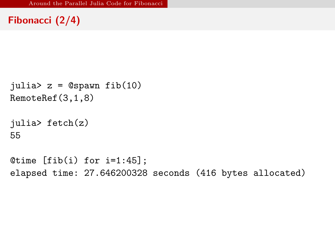## Fibonacci (2/4)

```
julia> z = 0spawn fib(10)RemoteRef(3,1,8)
```

```
julia> fetch(z)
55
```
<span id="page-26-0"></span>Otime  $[fib(i) for i=1:45]$ ; elapsed time: 27.646200328 seconds (416 bytes allocated)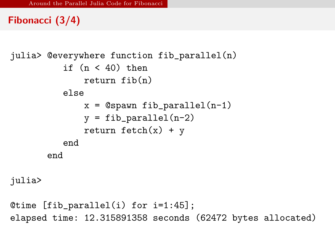## Fibonacci (3/4)

```
julia> @everywhere function fib_parallel(n)
          if (n < 40) then
              return fib(n)
          else
              x = Cspawn fib_parallel(n-1)
              y = fib\_parallel(n-2)return fetch(x) + yend
       end
```
julia>

```
@time [fib_parallel(i) for i=1:45];
elapsed time: 12.315891358 seconds (62472 bytes allocated)
```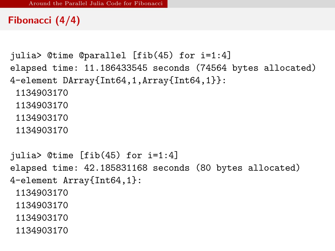## Fibonacci (4/4)

```
julia> @time @parallel [fib(45) for i=1:4]
elapsed time: 11.186433545 seconds (74564 bytes allocated)
4-element DArray{Int64,1,Array{Int64,1}}:
 1134903170
 1134903170
 1134903170
 1134903170
```
<span id="page-28-0"></span>julia> @time [fib(45) for i=1:4] elapsed time: 42.185831168 seconds (80 bytes allocated) 4-element Array{Int64,1}: 1134903170 1134903170 1134903170 1134903170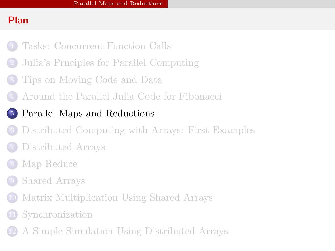## Plan

- [Tasks: Concurrent Function Calls](#page-2-0)
- [Julia's Prnciples for Parallel Computing](#page-8-0)
- [Tips on Moving Code and Data](#page-14-0)
- [Around the Parallel Julia Code for Fibonacci](#page-24-0)
- [Parallel Maps and Reductions](#page-29-0)
	- [Distributed Computing with Arrays: First Examples](#page-36-0)
	- [Distributed Arrays](#page-42-0)
- [Map Reduce](#page-50-0)
- [Shared Arrays](#page-55-0)
- [Matrix Multiplication Using Shared Arrays](#page-62-0)
- **[Synchronization](#page-68-0)**
- <span id="page-29-0"></span>[A Simple Simulation Using Distributed Arrays](#page-73-0)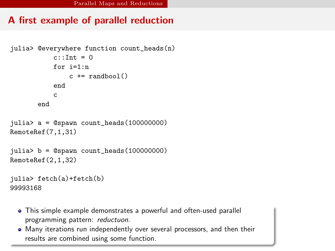## A first example of parallel reduction

```
julia> @everywhere function count_heads(n)
           c \cdotTnt = 0
           for i=1:nc \neq randbool()
           end
           c
       end
julia> a = @spawn count_heads(100000000)
RemoteRef(7,1,31)
julia> b = @spawn count_heads(100000000)
RemoteRef(2,1,32)
```

```
julia> fetch(a)+fetch(b)
99993168
```
- This simple example demonstrates a powerful and often-used parallel programming pattern: reductuon.
- <span id="page-30-0"></span>Many iterations run independently over several processors, and then their results are combined using some function.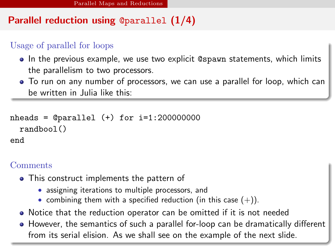## Parallel reduction using @parallel (1/4)

#### Usage of parallel for loops

- In the previous example, we use two explicit @spawn statements, which limits the parallelism to two processors.
- To run on any number of processors, we can use a parallel for loop, which can be written in Julia like this:

```
nheads = @parallel (+) for i=1:200000000randbool()
end
```
#### **Comments**

- This construct implements the pattern of
	- assigning iterations to multiple processors, and
	- combining them with a specified reduction (in this case  $(+)$ ).
- Notice that the reduction operator can be omitted if it is not needed
- <span id="page-31-0"></span>• However, the semantics of such a parallel for-loop can be dramatically different from its serial elision. As we shall see on the example of the next slide.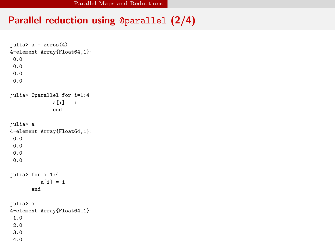### Parallel reduction using @parallel (2/4)

```
julia> a = zeros(4)4-element Array{Float64,1}:
0.0
0.0
0.0
0.0
julia> @parallel for i=1:4
              a[i] = iend
julia> a
4-element Array{Float64,1}:
0.0
0.0
0.0
0.0
julia> for i=1:4
          a[i] = iend
julia> a
4-element Array{Float64,1}:
1.0
2.0
3.0
4.0
```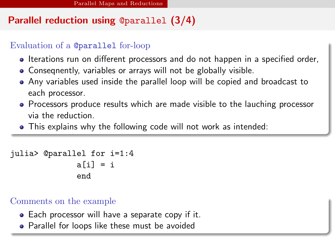# Parallel reduction using @parallel (3/4)

#### Evaluation of a @parallel for-loop

- Iterations run on different processors and do not happen in a specified order,
- Conseqnently, variables or arrays will not be globally visible.
- Any variables used inside the parallel loop will be copied and broadcast to each processor.
- Processors produce results which are made visible to the lauching processor via the reduction.
- This explains why the following code will not work as intended:

```
julia> @parallel for i=1:4
              a[i] = iend
```
#### Comments on the example

- Each processor will have a separate copy if it.
- <span id="page-33-0"></span>Parallel for loops like these must be avoided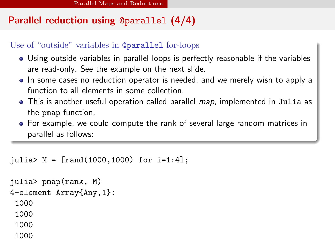## Parallel reduction using @parallel (4/4)

#### Use of "outside" variables in @parallel for-loops

- Using outside variables in parallel loops is perfectly reasonable if the variables are read-only. See the example on the next slide.
- In some cases no reduction operator is needed, and we merely wish to apply a function to all elements in some collection.
- This is another useful operation called parallel *map*, implemented in Julia as the pmap function.
- For example, we could compute the rank of several large random matrices in parallel as follows:

```
julia> M = [rand(1000, 1000) for i=1:4];
```

```
julia> pmap(rank, M)
4-element Array{Any,1}:
 1000
 1000
 1000
 1000
```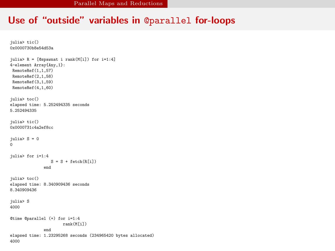#### Use of "outside" variables in @parallel for-loops

```
julia> tic()
0x0000730b8e54d53a
julia> R = [@spawnat i rank(M[i]) for i=1:4]
4-element Array{Any,1}:
 RemoteRef(1,1,57)
 RemoteRef(2,1,58)
 RemoteRef(3,1,59)
 RemoteRef(4,1,60)
julia> toc()
elapsed time: 5.252494335 seconds
5.252494335
julia> tic()
0x0000731c4a2ef8cc
inlia> S = 0
\Omegajulia> for i=1:4
                 S = S + \text{fetch}(R[i])end
julia> toc()
elapsed time: 8.340909436 seconds
8.340909436
julia> S
4000
@time @parallel (+) for i=1:4
                       rank(M[i])
               end
elapsed time: 1.23295268 seconds (234965420 bytes allocated)
4000
```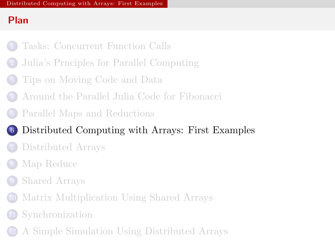## Plan

- [Tasks: Concurrent Function Calls](#page-2-0)
- [Julia's Prnciples for Parallel Computing](#page-8-0)
- [Tips on Moving Code and Data](#page-14-0)
- [Around the Parallel Julia Code for Fibonacci](#page-24-0)
- [Parallel Maps and Reductions](#page-29-0)

# [Distributed Computing with Arrays: First Examples](#page-36-0)

- [Distributed Arrays](#page-42-0)
- [Map Reduce](#page-50-0)
- [Shared Arrays](#page-55-0)
- [Matrix Multiplication Using Shared Arrays](#page-62-0)
- **[Synchronization](#page-68-0)**
- <span id="page-36-0"></span>[A Simple Simulation Using Distributed Arrays](#page-73-0)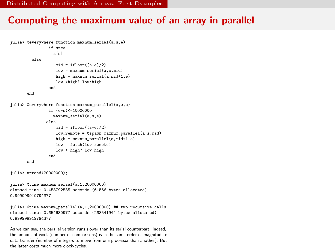#### Computing the maximum value of an array in parallel

```
julia> @everywhere function maxnum_serial(a,s,e)
                if s==e
                  a[s]
         else
                   mid = ifloor((s+e)/2)low = maxnum serial(a,s,mid)
                   high = maxnum_serial(a,mid+1,e)
                   low >high? low:high
                end
       end
julia> @everywhere function maxnum_parallel(a,s,e)
                if (e-s)<=10000000
                  maxnum_serial(a,s,e)
               else
                   mid = ifloor((s+a)/2)low_remote = @spawn maxnum_parallel(a,s,mid)
                   high = maxnum parallel(a, mid+1, e)low = fetch(low remote)
                   low > high? low:high
                end
       end
julia> a=rand(20000000);
julia> @time maxnum_serial(a,1,20000000)
elapsed time: 0.458792535 seconds (61556 bytes allocated)
0.999999919794377
julia> @time maxnum_parallel(a,1,20000000) ## two recursive calls
elapsed time: 0.654630977 seconds (268541944 bytes allocated)
0.999999919794377
As we can see, the parallel version runs slower than its serial counterpart. Indeed,
```
<span id="page-37-0"></span>the amount of work (number of comparisons) is in the same order of magnitude of data transfer (number of integers to move from one processor than another). But the latter costs much more clock-cycles.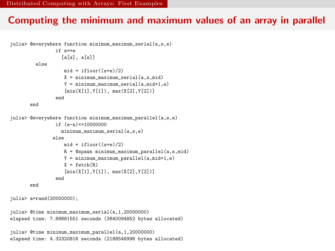#### Computing the minimum and maximum values of an array in parallel

```
julia> @everywhere function minimum maximum serial(a,s,e)
                if s==e
                  [a[s], a[s]]
         else
                   mid = iflon((s+a)/2)X = minimum_maximum\_serial(a,s,mid)Y = minimum maximum serial(a,mid+1,e)
                   [min(X[1],Y[1]), max(X[2],Y[2])]
                end
       end
julia> @everywhere function minimum maximum parallel(a,s,e)
                if (e-s)<=10000000
                  minimum_maximum_serial(a,s,e)
               else
                   mid = ifloor((s+e)/2)R = @spawn minimum_maximum_parallel(a,s,mid)
                   Y = minimum_maximum_parallel(a,mid+1,e)
                   X = \text{fetch}(R)[\min(X[1], Y[1]), \max(X[2], Y[2])]end
       end
```
julia> a=rand(20000000);

```
julia> @time_minimum_maximum_serial(a.1.20000000)
elapsed time: 7.89881551 seconds (3840094852 bytes allocated)
```

```
julia> @time minimum_maximum_parallel(a,1,20000000)
elapsed time: 4.32320816 seconds (2188546996 bytes allocated)
```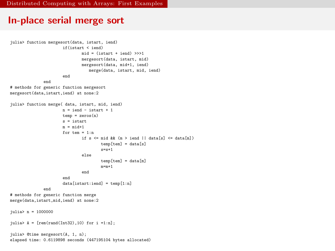#### In-place serial merge sort

```
julia> function mergesort(data, istart, iend)
                      if(istart < iend)
                              mid = (istart + iend) >>1mergesort(data, istart, mid)
                              mergesort(data, mid+1, iend)
                                 merge(data, istart, mid, iend)
                      end
              end
# methods for generic function mergesort
mergesort(data,istart,iend) at none:2
julia> function merge( data, istart, mid, iend)
                      n = iend - istart + 1
                      temp = zeros(n)s = istart
                      m = mid+1for tem = 1:nif s \leq mid && (m > iend || data[s] \leq data[m])
                                      temp[tem] = data[s]
                                      s=s+1
                              else
                                      temp[tem] = data[m]
                                      m=m+1end
                      end
                      data[istart:iend] = temp[1:n]
              end
# methods for generic function merge
merge(data,istart,mid,iend) at none:2
julia> n = 1000000
julia> A = [rem(rand(Int32), 10) for i =1:n];julia> @time mergesort(A, 1, n);
elapsed time: 0.6119898 seconds (447195104 bytes allocated)
```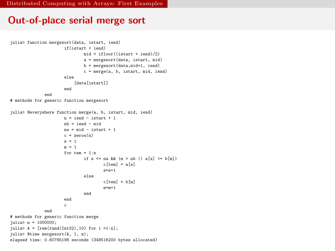#### Out-of-place serial merge sort

```
julia> function mergesort(data, istart, iend)
                      if(istart < iend)
                              mid = ifloor((start + iend)/2)a = mergesort(data, istart, mid)
                              b = mergesort(data,mid+1, iend)
                              c = merge(a, b, istart, mid, iend)
                      else
                          [data[istart]]
                      end
              end
# methods for generic function mergesort
julia> @everywhere function merge(a, b, istart, mid, iend)
                      n = iend - istart + 1
                      nh = iend - mid
                      na = mid - istart + 1c = zeros(n)s = 1m = 1for \tan = 1:nif s \leq na \&\& (m > nb || a[s] \leq b[m])c[tem] = a[s]s = s + 1else
                                      cftem = b[m]m=m+1end
                      end
                      c
              end
# methods for generic function merge
iulia> n = 1000000;
julia> A = [rem(rand(Int32), 10) for i =1:n];julia> @time mergesort(A, 1, n);
elapsed time: 0.60765198 seconds (348516200 bytes allocated)
```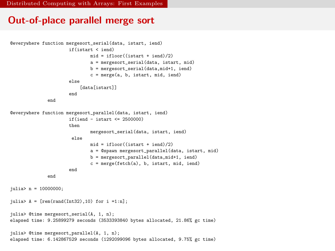[Distributed Computing with Arrays: First Examples](#page-41-0)

#### Out-of-place parallel merge sort

```
@everywhere function mergesort_serial(data, istart, iend)
                      if(istart < iend)
                              mid = ifloor((start + iend)/2)a = mergesort_serial(data, istart, mid)
                              b = mergesort_serial(data,mid+1, iend)
                              c = merge(a, b, istart, mid, iend)
                      else
                          [data[istart]]
                      end
              end
@everywhere function mergesort_parallel(data, istart, iend)
                      if(iend - istart <= 2500000)
                      then
                              mergesort_serial(data, istart, iend)
                       else
                              mid = ifloor((istart + iend)/2)a = @spawn mergesort_parallel(data, istart, mid)
                              b = mergesort_parallel(data,mid+1, iend)
                              c = merge(fetch(a), b, istart, mid, iend)
                      end
              end
julia> n = 10000000;
julia> A = [rem(rand(Int32), 10) for i =1:n];julia> @time mergesort_serial(A, 1, n);
elapsed time: 9.25899279 seconds (3533393840 bytes allocated, 21.86% gc time)
julia> @time mergesort_parallel(A, 1, n);
elapsed time: 6.142867529 seconds (1292099096 bytes allocated, 9.75% gc time)
```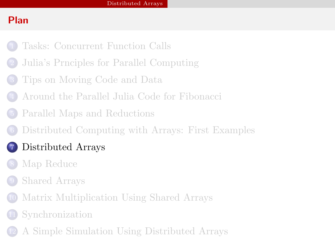## Plan

- [Tasks: Concurrent Function Calls](#page-2-0)
- [Julia's Prnciples for Parallel Computing](#page-8-0)
- [Tips on Moving Code and Data](#page-14-0)
- [Around the Parallel Julia Code for Fibonacci](#page-24-0)
- [Parallel Maps and Reductions](#page-29-0)
- [Distributed Computing with Arrays: First Examples](#page-36-0)

# [Distributed Arrays](#page-42-0)

- [Map Reduce](#page-50-0)
- [Shared Arrays](#page-55-0)
- [Matrix Multiplication Using Shared Arrays](#page-62-0)
- **[Synchronization](#page-68-0)**
- <span id="page-42-0"></span>[A Simple Simulation Using Distributed Arrays](#page-73-0)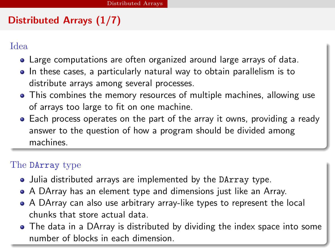## Distributed Arrays (1/7)

Idea

- Large computations are often organized around large arrays of data.
- In these cases, a particularly natural way to obtain parallelism is to distribute arrays among several processes.
- This combines the memory resources of multiple machines, allowing use of arrays too large to fit on one machine.
- Each process operates on the part of the array it owns, providing a ready answer to the question of how a program should be divided among machines.

## The DArray type

- Julia distributed arrays are implemented by the DArray type.
- A DArray has an element type and dimensions just like an Array.
- A DArray can also use arbitrary array-like types to represent the local chunks that store actual data.
- <span id="page-43-0"></span>• The data in a DArray is distributed by dividing the index space into some number of blocks in each dimension.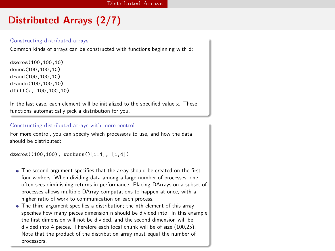## Distributed Arrays (2/7)

#### Constructing distributed arrays

Common kinds of arrays can be constructed with functions beginning with d:

dzeros(100,100,10) dones(100,100,10) drand(100,100,10) drandn(100,100,10) dfill(x, 100,100,10)

In the last case, each element will be initialized to the specified value x. These functions automatically pick a distribution for you.

#### Constructing distributed arrays with more control

For more control, you can specify which processors to use, and how the data should be distributed:

```
dzeros((100,100), workers()[1:4], [1,4])
```
- The second argument specifies that the array should be created on the first four workers. When dividing data among a large number of processes, one often sees diminishing returns in performance. Placing DArrays on a subset of processes allows multiple DArray computations to happen at once, with a higher ratio of work to communication on each process.
- <span id="page-44-0"></span>The third argument specifies a distribution; the nth element of this array specifies how many pieces dimension n should be divided into. In this example the first dimension will not be divided, and the second dimension will be divided into 4 pieces. Therefore each local chunk will be of size (100,25). Note that the product of the distribution array must equal the number of processors.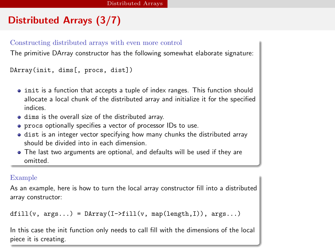# Distributed Arrays (3/7)

#### Constructing distributed arrays with even more control

The primitive DArray constructor has the following somewhat elaborate signature:

DArray(init, dims[, procs, dist])

- $\bullet$  init is a function that accepts a tuple of index ranges. This function should allocate a local chunk of the distributed array and initialize it for the specified indices.
- dims is the overall size of the distributed array.
- procs optionally specifies a vector of processor IDs to use.
- dist is an integer vector specifying how many chunks the distributed array should be divided into in each dimension.
- The last two arguments are optional, and defaults will be used if they are omitted.

#### Example

As an example, here is how to turn the local array constructor fill into a distributed array constructor:

```
diff11(v, args...) = DArray(I->fill(v, map(length,I)), args...)
```
<span id="page-45-0"></span>In this case the init function only needs to call fill with the dimensions of the local piece it is creating.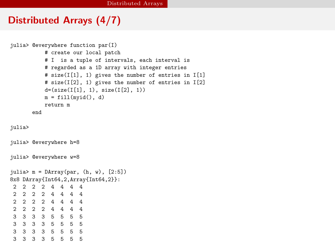#### Distributed Arrays (4/7)

```
julia> @everywhere function par(I)
          # create our local patch
          # I is a tuple of intervals, each interval is
          # regarded as a 1D array with integer entries
          # size(I[1], 1) gives the number of entries in I[1]
          # size(I[2], 1) gives the number of entries in I[2]
          d=(size(I[1], 1), size(I[2], 1))
         m = fil(mvid(), d)
          return m
      end
julia>
julia> @everywhere h=8
julia> @everywhere w=8
julia> m = DArray(par, (h, w), [2:5])
8x8 DArray{Int64,2,Array{Int64,2}}:
2 2 2 2 4 4 4 4
 2 2 2 2 4 4 4 4
2 2 2 2 4 4 4 4
2 2 2 2 4 4 4 4
3 3 3 3 5 5 5 5
3 3 3 3 5 5 5 5
3 3 3 3 5 5 5 5
3 3 3 3 5 5 5 5
```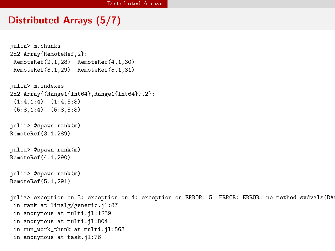### Distributed Arrays (5/7)

```
julia> m.chunks
2x2 Array{RemoteRef,2}:
 RemoteRef(2,1,28) RemoteRef(4,1,30)
 RemoteRef(3,1,29) RemoteRef(5,1,31)
julia> m.indexes
2x2 Array{(Range1{Int64},Range1{Int64}),2}:
 (1:4,1:4) (1:4,5:8)
 (5:8,1:4) (5:8,5:8)
julia> @spawn rank(m)
RemoteRef(3,1,289)
julia> @spawn rank(m)
RemoteRef(4,1,290)
julia> @spawn rank(m)
RemoteRef(5,1,291)
julia> exception on 3: exception on 4: exception on ERROR: 5: ERROR: ERROR: no method svdvals(DA:
 in rank at linalg/generic.jl:87
 in anonymous at multi.jl:1239
 in anonymous at multi.jl:804
 in run_work_thunk at multi.jl:563
 in anonymous at task.il:76
```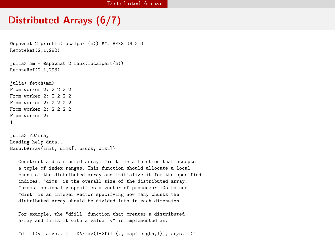#### Distributed Arrays (6/7)

```
@spawnat 2 println(localpart(m)) ### VERSION 2.0
RemoteRef(2,1,292)
julia> mm = @spawnat 2 rank(localpart(m))
RemoteRef(2,1,293)
julia> fetch(mm)
From worker 2: 2222
From worker 2 \cdot 2 2 2 2From worker 2 \cdot 2 2 2 2From worker 2: 2 2 2 2
From worker 2:
1
julia> ?DArray
Loading help data...
Base.DArray(init, dims[, procs, dist])
   Construct a distributed array. "init" is a function that accepts
```
a tuple of index ranges. This function should allocate a local chunk of the distributed array and initialize it for the specified indices. "dims" is the overall size of the distributed array. "procs" optionally specifies a vector of processor IDs to use. "dist" is an integer vector specifying how many chunks the distributed array should be divided into in each dimension.

For example, the "dfill" function that creates a distributed array and fills it with a value "v" is implemented as:

```
"dfill(v, args...) = DArray(I->fill(v, map(length,I)), args...)"
```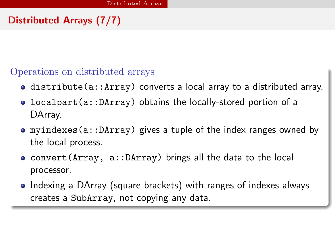# Distributed Arrays (7/7)

Operations on distributed arrays

- distribute(a::Array) converts a local array to a distributed array.
- localpart(a::DArray) obtains the locally-stored portion of a DArray.
- myindexes(a::DArray) gives a tuple of the index ranges owned by the local process.
- convert(Array, a::DArray) brings all the data to the local processor.
- <span id="page-49-0"></span>• Indexing a DArray (square brackets) with ranges of indexes always creates a SubArray, not copying any data.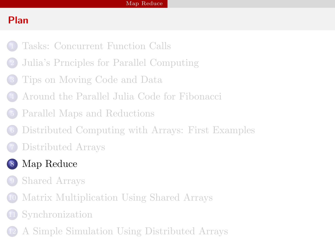# Plan

- [Tasks: Concurrent Function Calls](#page-2-0)
- [Julia's Prnciples for Parallel Computing](#page-8-0)
- [Tips on Moving Code and Data](#page-14-0)
- [Around the Parallel Julia Code for Fibonacci](#page-24-0)
- [Parallel Maps and Reductions](#page-29-0)
- [Distributed Computing with Arrays: First Examples](#page-36-0)
- [Distributed Arrays](#page-42-0)
- <span id="page-50-0"></span> [Map Reduce](#page-50-0)
	- [Shared Arrays](#page-55-0)
	- [Matrix Multiplication Using Shared Arrays](#page-62-0)
	- **[Synchronization](#page-68-0)**
	- [A Simple Simulation Using Distributed Arrays](#page-73-0)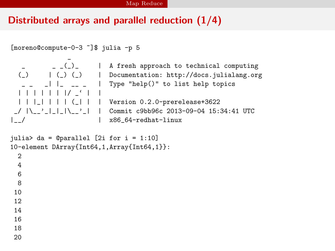### Distributed arrays and parallel reduction (1/4)

```
[moreno@compute-0-3 ~]$ julia -p 5
```

```
_
 | | | | | | |/ _' | |
| | |_| | | | (_| | | Version 0.2.0-prerelease+3622
```

```
- _{-} _{-} _{-} _{-} _{-} _{+} A fresh approach to technical computing
(_) | (_) (_) | Documentation: http://docs.julialang.org
_ _ _| |_ __ _ | Type "help()" to list help topics
```
Commit c9bb96c 2013-09-04 15:34:41 UTC |\_\_/ | x86\_64-redhat-linux

```
julia> da = @parallel [2i for i = 1:10]
10-element DArray{Int64,1,Array{Int64,1}}:
 2
  4
 6
 8
10
12
14
16
18
20
```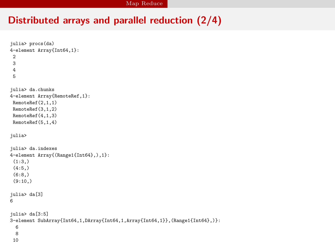## Distributed arrays and parallel reduction (2/4)

```
julia> procs(da)
4-element Array{Int64,1}:
 \overline{2}3
 4
5
julia> da.chunks
4-element Array{RemoteRef,1}:
RemoteRef(2,1,1)
RemoteRef(3,1,2)
RemoteRef(4,1,3)
RemoteRef(5,1,4)
julia>
julia> da.indexes
4-element Array{(Range1{Int64},),1}:
(1:3)(4:5, )(6:8,)
(9:10)julia> da[3]
6
julia> da[3:5]
3-element SubArray{Int64,1,DArray{Int64,1,Array{Int64,1}},(Range1{Int64},)}:
 6
 8
 10
```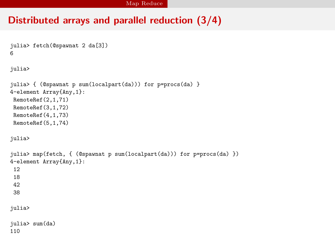### Distributed arrays and parallel reduction (3/4)

```
julia> fetch(@spawnat 2 da[3])
6
julia>
julia> { (@spawnat p sum(localpart(da))) for p=procs(da) }
4-element Array{Any,1}:
RemoteRef(2,1,71)
RemoteRef(3,1,72)
RemoteRef(4,1,73)
RemoteRef(5,1,74)
julia>
julia> map(fetch, { (@spawnat p sum(localpart(da))) for p=procs(da) })
4-element Array{Any,1}:
12
18
42
38
julia>
julia> sum(da)
110
```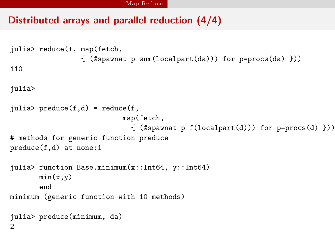### Distributed arrays and parallel reduction (4/4)

```
julia> reduce(+, map(fetch,
                 { (@spawnat p sum(localpart(da))) for p=procs(da) }))
110
julia>
julia> preduce(f,d) = reduce(f,map(fetch,
                             \{ (@spawnat p f(localpart(d))) for p=procs(d) }))
# methods for generic function preduce
preduce(f,d) at none:1
julia> function Base.minimum(x::Int64, y::Int64)
       min(x, y)end
minimum (generic function with 10 methods)
julia> preduce(minimum, da)
2
```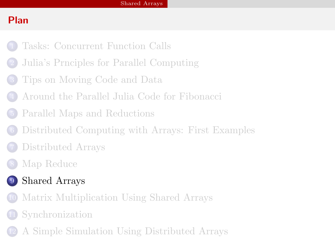## Plan

- [Tasks: Concurrent Function Calls](#page-2-0)
- [Julia's Prnciples for Parallel Computing](#page-8-0)
- [Tips on Moving Code and Data](#page-14-0)
- [Around the Parallel Julia Code for Fibonacci](#page-24-0)
- [Parallel Maps and Reductions](#page-29-0)
- [Distributed Computing with Arrays: First Examples](#page-36-0)
- [Distributed Arrays](#page-42-0)
- [Map Reduce](#page-50-0)
- <span id="page-55-0"></span> [Shared Arrays](#page-55-0)
	- [Matrix Multiplication Using Shared Arrays](#page-62-0)
	- **[Synchronization](#page-68-0)**
	- [A Simple Simulation Using Distributed Arrays](#page-73-0)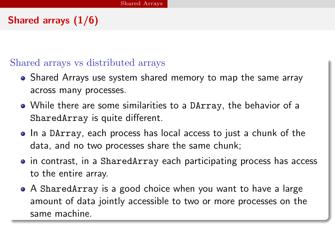## Shared arrays (1/6)

#### Shared arrays vs distributed arrays

- Shared Arrays use system shared memory to map the same array across many processes.
- While there are some similarities to a DArray, the behavior of a SharedArray is quite different.
- In a DArray, each process has local access to just a chunk of the data, and no two processes share the same chunk;
- in contrast, in a SharedArray each participating process has access to the entire array.
- <span id="page-56-0"></span>A SharedArray is a good choice when you want to have a large amount of data jointly accessible to two or more processes on the same machine.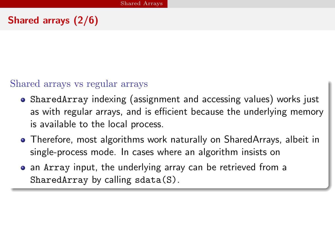## Shared arrays (2/6)

### Shared arrays vs regular arrays

- SharedArray indexing (assignment and accessing values) works just as with regular arrays, and is efficient because the underlying memory is available to the local process.
- Therefore, most algorithms work naturally on SharedArrays, albeit in single-process mode. In cases where an algorithm insists on
- <span id="page-57-0"></span>• an Array input, the underlying array can be retrieved from a SharedArray by calling sdata(S).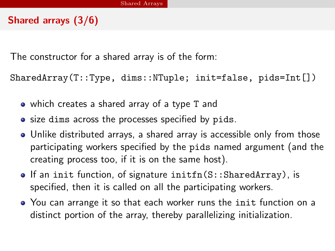## Shared arrays (3/6)

The constructor for a shared array is of the form:

SharedArray(T::Type, dims::NTuple; init=false, pids=Int[])

- which creates a shared array of a type T and
- size dims across the processes specified by pids.
- Unlike distributed arrays, a shared array is accessible only from those participating workers specified by the pids named argument (and the creating process too, if it is on the same host).
- $\bullet$  If an init function, of signature initfn(S::SharedArray), is specified, then it is called on all the participating workers.
- <span id="page-58-0"></span>You can arrange it so that each worker runs the init function on a distinct portion of the array, thereby parallelizing initialization.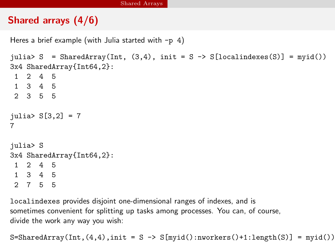## Shared arrays (4/6)

```
Heres a brief example (with Julia started with -p 4)
```

```
julia> S = SharedArray(Int, (3,4), init = S -> S[localindexes(S)] = myid())
3x4 SharedArray{Int64,2}:
1 2 4 5
1 3 4 5
2 3 5 5
julia> S[3,2] = 77
julia> S
3x4 SharedArray{Int64,2}:
1 2 4 5
1 3 4 5
```
2 7 5 5

localindexes provides disjoint one-dimensional ranges of indexes, and is sometimes convenient for splitting up tasks among processes. You can, of course, divide the work any way you wish:

<span id="page-59-0"></span> $S=SharedArray(Int,(4,4),init = S \rightarrow S[mvid():nworkers() +1:length(S)] = myid())$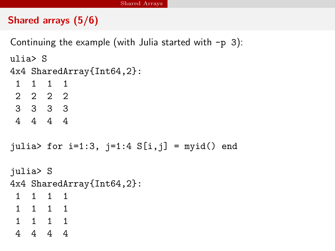## Shared arrays (5/6)

Continuing the example (with Julia started with  $-p$  3):

ulia> S

4x4 SharedArray{Int64,2}:

1 1 1 1 2 2 2 2 3 3 3 3 4 4 4 4

```
julia> for i=1:3, j=1:4 S[i,j] = myid() end
```
julia> S

4x4 SharedArray{Int64,2}:

- 1 1 1 1
- 1 1 1 1
- 1 1 1 1
- <span id="page-60-0"></span>4 4 4 4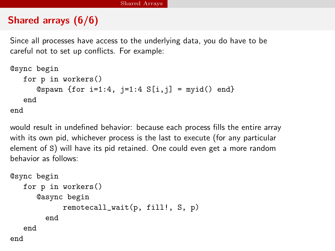## Shared arrays (6/6)

Since all processes have access to the underlying data, you do have to be careful not to set up conflicts. For example:

```
@sync begin
  for p in workers()
      Ospawn {for i=1:4, j=1:4 S[i, j] = myid() end}
   end
end
```
would result in undefined behavior: because each process fills the entire array with its own pid, whichever process is the last to execute (for any particular element of S) will have its pid retained. One could even get a more random behavior as follows:

```
@sync begin
  for p in workers()
      @async begin
            remotecall_wait(p, fill!, S, p)
        end
   end
end
```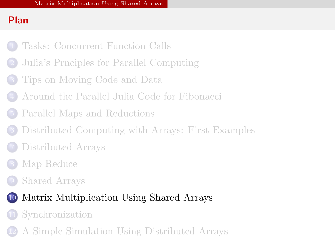## Plan

- [Tasks: Concurrent Function Calls](#page-2-0)
- [Julia's Prnciples for Parallel Computing](#page-8-0)
- [Tips on Moving Code and Data](#page-14-0)
- [Around the Parallel Julia Code for Fibonacci](#page-24-0)
- [Parallel Maps and Reductions](#page-29-0)
- [Distributed Computing with Arrays: First Examples](#page-36-0)
- [Distributed Arrays](#page-42-0)
- [Map Reduce](#page-50-0)
- [Shared Arrays](#page-55-0)



- **[Synchronization](#page-68-0)**
- <span id="page-62-0"></span>[A Simple Simulation Using Distributed Arrays](#page-73-0)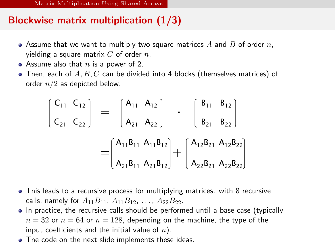## Blockwise matrix multiplication (1/3)

- Assume that we want to multiply two square matrices A and B of order n, yielding a square matrix  $C$  of order  $n$ .
- Assume also that  $n$  is a power of 2.
- $\bullet$  Then, each of  $A, B, C$  can be divided into 4 blocks (themselves matrices) of order  $n/2$  as depicted below.

$$
\begin{bmatrix}\nC_{11} & C_{12} \\
C_{21} & C_{22}\n\end{bmatrix} = \begin{bmatrix}\nA_{11} & A_{12} \\
A_{21} & A_{22}\n\end{bmatrix} \cdot \begin{bmatrix}\nB_{11} & B_{12} \\
B_{21} & B_{22}\n\end{bmatrix}
$$
\n
$$
= \begin{bmatrix}\nA_{11}B_{11} & A_{11}B_{12} \\
A_{21}B_{11} & A_{21}B_{12}\n\end{bmatrix} + \begin{bmatrix}\nA_{12}B_{21} & A_{12}B_{22} \\
A_{22}B_{21} & A_{22}B_{22}\n\end{bmatrix}
$$

- This leads to a recursive process for multiplying matrices. with 8 recursive calls, namely for  $A_{11}B_{11}$ ,  $A_{11}B_{12}$ , ...,  $A_{22}B_{22}$ .
- In practice, the recursive calls should be performed until a base case (typically  $n = 32$  or  $n = 64$  or  $n = 128$ , depending on the machine, the type of the input coefficients and the initial value of  $n$ ).
- <span id="page-63-0"></span>• The code on the next slide implements these ideas.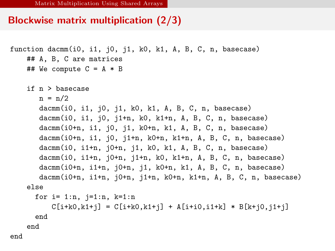### Blockwise matrix multiplication (2/3)

```
function dacmm(i0, i1, j0, j1, k0, k1, A, B, C, n, basecase)
    ## A, B, C are matrices
    ## We compute C = A * Bif n > basecase
      n = n/2dacmm(i0, i1, j0, j1, k0, k1, A, B, C, n, basecase)
       dacmm(i0, i1, j0, j1+n, k0, k1+n, A, B, C, n, basecase)
       dacmm(i0+n, i1, j0, j1, k0+n, k1, A, B, C, n, basecase)
       dacmm(i0+n, i1, j0, j1+n, k0+n, k1+n, A, B, C, n, basecase)
       dacmm(i0, i1+n, j0+n, j1, k0, k1, A, B, C, n, basecase)
       dacmm(i0, i1+n, j0+n, j1+n, k0, k1+n, A, B, C, n, basecase)
       dacmm(i0+n, i1+n, j0+n, j1, k0+n, k1, A, B, C, n, basecase)
       dacmm(i0+n, i1+n, j0+n, j1+n, k0+n, k1+n, A, B, C, n, basecase)
    else
      for i=1:n, j=1:n, k=1:nC[i+k0, k1+j] = C[i+k0, k1+j] + A[i+i0, i1+k] + B[k+i0, i1+j]end
    end
end
```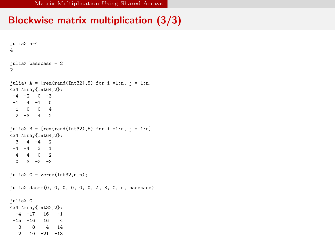[Matrix Multiplication Using Shared Arrays](#page-65-0)

## Blockwise matrix multiplication (3/3)

```
julia> n=4
4
julia> basecase = 2
\simjulia> A = [rem(rand(Int32), 5) for i = 1:n, j = 1:n]4x4 Array{Int64,2}:
-4 -2 0 -3-1 4 -1 0
 1 0 0 -4
 2 -3 4 2julia> B = [rem(rand(Int32), 5) for i = 1:n, j = 1:n]4x4 Array{Int64,2}:
 3 4 -4 2
-4 -4 3 1
-4 -4 0 -20 \t 3 \t -2 \t -3julia> C = zeros(Int32, n, n);julia> dacmm(0, 0, 0, 0, 0, 0, A, B, C, n, basecase)
julia> C
4x4 Array{Int32,2}:
 -4 -17 16 -1-15 -16 16 4
  3 -8 4 14
  2 10 -21 -13
```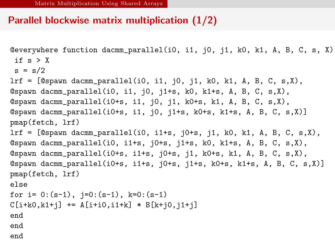### Parallel blockwise matrix multiplication (1/2)

```
@everywhere function dacmm_parallel(i0, i1, j0, j1, k0, k1, A, B, C, s, X)
 if s > Xs = s/2lrf = [@spawn dacmm_parallel(i0, i1, j0, j1, k0, k1, A, B, C, s,X),
@spawn dacmm_parallel(i0, i1, j0, j1+s, k0, k1+s, A, B, C, s,X),
@spawn dacmm_parallel(i0+s, i1, j0, j1, k0+s, k1, A, B, C, s,X),
@spawn dacmm_parallel(i0+s, i1, j0, j1+s, k0+s, k1+s, A, B, C, s,X)]
pmap(fetch, lrf)
lrf = [@spawn dacmm_parallel(i0, i1+s, j0+s, j1, k0, k1, A, B, C, s,X),
\Diamondspawn dacmm_parallel(i0, i1+s, j0+s, j1+s, k0, k1+s, A, B, C, s,X),
@spawn dacmm_parallel(i0+s, i1+s, j0+s, j1, k0+s, k1, A, B, C, s,X),
@spawn dacmm_parallel(i0+s, i1+s, j0+s, j1+s, k0+s, k1+s, A, B, C, s,X)]
pmap(fetch, lrf)
else
for i= 0:(s-1), j=0:(s-1), k=0:(s-1)C[i+k0, k1+j] += A[i+i0, i1+k] * B[k+i0, i1+i]end
end
end
```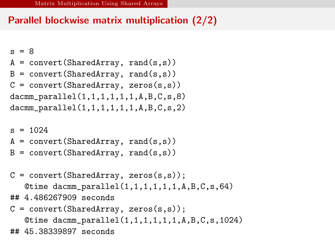## Parallel blockwise matrix multiplication (2/2)

```
s = 8A = convert (SharedArray, rand(s,s))
B = convert (SharedArray, rand(s,s))
C = convert (SharedArray, zeros(s, s))
dacmm_parallel(1,1,1,1,1,1,A,B,C,s,8)
dacmm_parallel(1,1,1,1,1,1,A,B,C,s,2)
s = 1024A = convert (SharedArray, rand(s,s))
B = convert (SharedArray, rand(s,s))
C = convert (SharedArray, zeros(s,s));
   @time dacmm_parallel(1,1,1,1,1,1,A,B,C,s,64)## 4.486267909 seconds
C = convert (SharedArray, zeros(s,s));
   Qtime dacmm_parallel(1,1,1,1,1,1,A,B,C,s,1024)## 45.38339897 seconds
```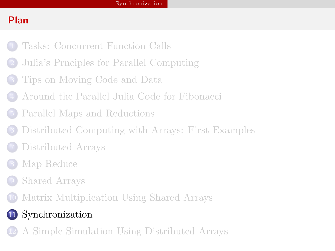## Plan

- [Tasks: Concurrent Function Calls](#page-2-0)
- [Julia's Prnciples for Parallel Computing](#page-8-0)
- [Tips on Moving Code and Data](#page-14-0)
- [Around the Parallel Julia Code for Fibonacci](#page-24-0)
- [Parallel Maps and Reductions](#page-29-0)
- [Distributed Computing with Arrays: First Examples](#page-36-0)
- [Distributed Arrays](#page-42-0)
- [Map Reduce](#page-50-0)
- [Shared Arrays](#page-55-0)
- [Matrix Multiplication Using Shared Arrays](#page-62-0)

# [Synchronization](#page-68-0)

<span id="page-68-0"></span>[A Simple Simulation Using Distributed Arrays](#page-73-0)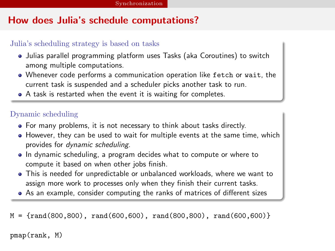## How does Julia's schedule computations?

#### Julia's scheduling strategy is based on tasks

- Julias parallel programming platform uses Tasks (aka Coroutines) to switch among multiple computations.
- Whenever code performs a communication operation like fetch or wait, the current task is suspended and a scheduler picks another task to run.
- A task is restarted when the event it is waiting for completes.

#### Dynamic scheduling

- For many problems, it is not necessary to think about tasks directly.
- $\bullet$  However, they can be used to wait for multiple events at the same time, which provides for dynamic scheduling.
- In dynamic scheduling, a program decides what to compute or where to compute it based on when other jobs finish.
- This is needed for unpredictable or unbalanced workloads, where we want to assign more work to processes only when they finish their current tasks.
- As an example, consider computing the ranks of matrices of different sizes

 $M = \{rand(800, 800), rand(600, 600), rand(800, 800), rand(600, 600)\}\$ 

<span id="page-69-0"></span>pmap(rank, M)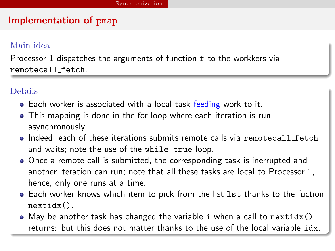#### Implementation of pmap

#### Main idea

Processor 1 dispatches the arguments of function f to the workkers via remotecall fetch.

#### Details

- Each worker is associated with a local task feeding work to it.
- This mapping is done in the for loop where each iteration is run asynchronously.
- Indeed, each of these iterations submits remote calls via remotecall fetch and waits; note the use of the while true loop.
- Once a remote call is submitted, the corresponding task is inerrupted and another iteration can run; note that all these tasks are local to Processor 1, hence, only one runs at a time.
- Each worker knows which item to pick from the list lst thanks to the fuction nextidx().
- <span id="page-70-0"></span> $\bullet$  May be another task has changed the variable i when a call to nextidx() returns: but this does not matter thanks to the use of the local variable idx.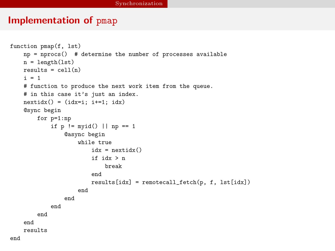#### Implementation of pmap

```
function pmap(f, lst)
   np = nprocs() # determine the number of processes available
   n = length(1st)results = cell(n)i = 1# function to produce the next work item from the queue.
   # in this case it's just an index.
   nextidx() = (idx=i; i+=1; idx)@sync begin
        for p=1:np
           if p != myid() || np == 1@async begin
                   while true
                        idx = nextidx()if idx > n
                            break
                        end
                        results[idx] = remotecall_fetch(p, f, lst[idx])end
                end
           end
        end
    end
   results
end
```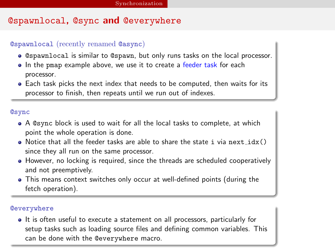## @spawnlocal, @sync and @everywhere

#### @spawnlocal (recently renamed @async)

- @spawnlocal is similar to @spawn, but only runs tasks on the local processor.
- In the pmap example above, we use it to create a feeder task for each processor.
- Each task picks the next index that needs to be computed, then waits for its processor to finish, then repeats until we run out of indexes.

#### @sync

- A @sync block is used to wait for all the local tasks to complete, at which point the whole operation is done.
- $\bullet$  Notice that all the feeder tasks are able to share the state i via next  $idx()$ since they all run on the same processor.
- However, no locking is required, since the threads are scheduled cooperatively and not preemptively.
- This means context switches only occur at well-defined points (during the fetch operation).

#### **@everywhere**

<span id="page-72-0"></span>• It is often useful to execute a statement on all processors, particularly for setup tasks such as loading source files and defining common variables. This can be done with the @everywhere macro.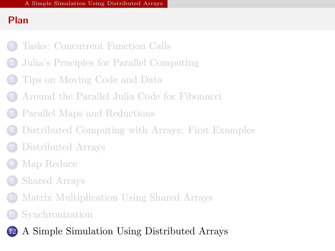# Plan

- [Tasks: Concurrent Function Calls](#page-2-0)
- [Julia's Prnciples for Parallel Computing](#page-8-0)
- [Tips on Moving Code and Data](#page-14-0)
- [Around the Parallel Julia Code for Fibonacci](#page-24-0)
- [Parallel Maps and Reductions](#page-29-0)
- [Distributed Computing with Arrays: First Examples](#page-36-0)
- [Distributed Arrays](#page-42-0)
- [Map Reduce](#page-50-0)
- [Shared Arrays](#page-55-0)
- [Matrix Multiplication Using Shared Arrays](#page-62-0)
	- **[Synchronization](#page-68-0)**
- <span id="page-73-0"></span>[A Simple Simulation Using Distributed Arrays](#page-73-0)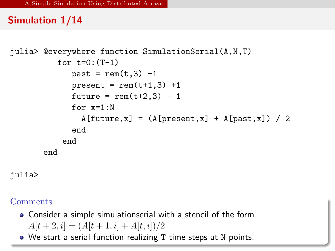## Simulation 1/14

```
julia> @everywhere function SimulationSerial(A,N,T)
          for t=0: (T-1)past = rem(t,3) +1present = rem(t+1,3) +1future = rem(t+2.3) + 1for x=1:NA[future, x] = (A[present, x] + A[past, x]) / 2end
           end
       end
```
julia>

- Consider a simple simulationserial with a stencil of the form  $A[t + 2, i] = (A[t + 1, i] + A[t, i])/2$
- <span id="page-74-0"></span>We start a serial function realizing T time steps at N points.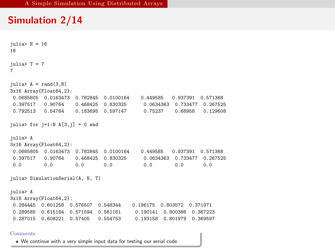#### Simulation 2/14

```
iulia> N = 16
16
julia> T = 77
iulia> A = rand(3,N)3x16 Array{Float64,2}:
0.0685805 0.0163473 0.782845 0.0100164 0.449585 0.937391 0.571368
0.397517 0.90764 0.468425 0.830325 0.0634363 0.733477 0.267525
0.792513  0.54764  0.183695  0.597147  0.75237
julia> for j=1:N A[3,j] = 0 end
julia> A
3x16 Array{Float64,2}:
0.0685805 0.0163473 0.782845 0.0100164 0.449585 0.937391 0.571368
0.397517 0.90764 0.468425 0.830325 0.0634363 0.733477 0.26<br>0.0 0.0 0.0 0.0 0.00.0 0.0 0.0 0.0 0.0 0.0 0.0
julia> SimulationSerial(A, N, T)
julia> A
3x16 Array{Float64,2}:
0.284445 0.601258 0.576507 0.548344 0.196175 0.803572 0.371971
0.289585  0.615184  0.571594  0.561161  0.190141  0.800386  0.367223<br>0.287015  0.608221  0.57405  0.554753  0.193158  0.801979  0.369597
                                       0.193158 0.801979 0.369597
```
#### <span id="page-75-0"></span>Comments

We continue with a very simple input data for testing our serial code.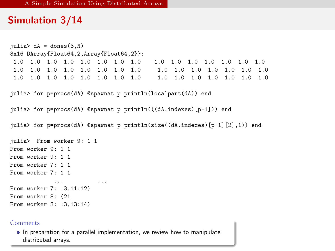### Simulation 3/14

```
iulia> dA = dones(3,N)3x16 DArray{Float64,2,Array{Float64,2}}:
1.0 1.0 1.0 1.0 1.0 1.0 1.0 1.0 1.0 1.0 1.0 1.0 1.0 1.0 1.0
1.0 1.0 1.0 1.0 1.0 1.0 1.0 1.0 1.0 1.0 1.0 1.0 1.0 1.0 1.0
1.0 1.0 1.0 1.0 1.0 1.0 1.0 1.0 1.0 1.0 1.0 1.0 1.0 1.0 1.0
julia> for p=procs(dA) @spawnat p println(localpart(dA)) end
julia> for p=procs(dA) @spawnat p println(((dA.indexes)[p-1])) end
julia> for p=procs(dA) @spawnat p println(size((dA.indexes)[p-1][2],1)) end
julia> From worker 9: 1 1
From worker 9: 1 1
From worker 9: 1 1
From worker 7: 1 1
From worker 7: 1 1
            ... ...
From worker 7: :3,11:12)
From worker 8: (21
From worker 8: :3,13:14)
```
#### Comments

<span id="page-76-0"></span>In preparation for a parallel implementation, we review how to manipulate distributed arrays.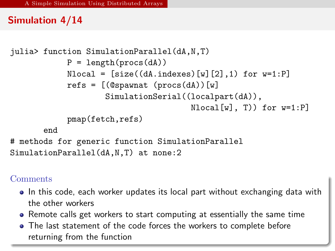## Simulation 4/14

```
julia> function SimulationParallel(dA,N,T)
            P = length(procs(dA))Nlocal = [size((dA.indexes) [w] [2], 1) for w=1:P]refs = [(@spawnat (procs(dA))[w]
                    SimulationSerial((localpart(dA)),
                                      Nlocal[w], T) for w=1:Ppmap(fetch,refs)
       end
# methods for generic function SimulationParallel
SimulationParallel(dA,N,T) at none:2
```
- In this code, each worker updates its local part without exchanging data with the other workers
- Remote calls get workers to start computing at essentially the same time
- <span id="page-77-0"></span>• The last statement of the code forces the workers to complete before returning from the function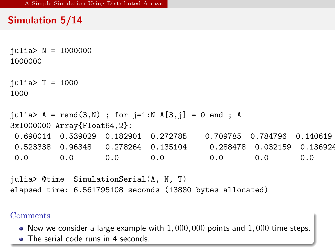# Simulation 5/14

```
julia> N = 1000000
1000000
julia> T = 10001000
julia> A = rand(3,N) ; for j=1:N A[3,j] = 0 end ; A
3x1000000 Array{Float64,2}:
0.690014 0.539029 0.182901 0.272785 0.709785 0.784796 0.140619
0.523338 0.96348 0.278264 0.135104 0.288478 0.032159 0.136924
0.0 0.0 0.0 0.0 0.0 0.0 0.0
julia> @time SimulationSerial(A, N, T)
elapsed time: 6.561795108 seconds (13880 bytes allocated)
```
- $\bullet$  Now we consider a large example with  $1,000,000$  points and  $1,000$  time steps.
- <span id="page-78-0"></span>• The serial code runs in 4 seconds.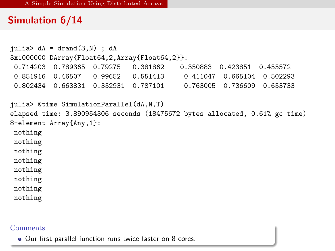### Simulation 6/14

```
julia> dA = \text{drand}(3,N); dA3x1000000 DArray{Float64,2,Array{Float64,2}}:
0.714203 0.789365 0.79275 0.381862
0.851916 0.46507 0.99652 0.551413 0.411047 0.665104 0.502293
0.802434  0.663831  0.352931  0.787101
julia> @time SimulationParallel(dA,N,T)
elapsed time: 3.890954306 seconds (18475672 bytes allocated, 0.61% gc time)
8-element Array{Any,1}:
nothing
nothing
nothing
nothing
nothing
nothing
nothing
nothing
```
#### **Comments**

<span id="page-79-0"></span>Our first parallel function runs twice faster on 8 cores.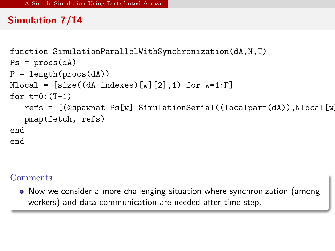# Simulation 7/14

```
function SimulationParallelWithSynchronization(dA,N,T)
Ps = process(dA)P = length(procs(dA))Nlocal = [size((dA.indexes) [w] [2], 1) for w=1:P]for t=0: (T-1)refs = [(@spawnat Ps[w] SimulationSerial((localpart(dA)),Nlocal[w])]pmap(fetch, refs)
end
end
```
#### **Comments**

<span id="page-80-0"></span>Now we consider a more challenging situation where synchronization (among workers) and data communication are needed after time step.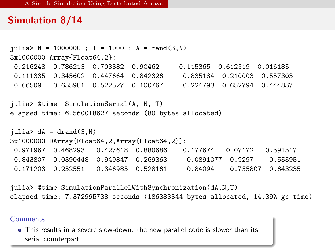### Simulation 8/14

```
julia> N = 1000000; T = 1000; A = rand(3,N)3x1000000 Array{Float64,2}:
0.216248 0.786213 0.703382 0.90462 0.115365 0.612519 0.016185
0.111335 0.345602 0.447664 0.842326 0.835184 0.210003 0.557303
0.66509 0.655981 0.522527 0.100767 0.224793 0.652794 0.444837
julia> @time SimulationSerial(A, N, T)
elapsed time: 6.560018627 seconds (80 bytes allocated)
iulia> dA = drand(3,N)3x1000000 DArray{Float64,2,Array{Float64,2}}:
0.971967 0.468293 0.427618 0.880686 0.177674 0.07172 0.591517
0.843807 0.0390448 0.949847 0.269363 0.0891077 0.9297 0.555951
0.171203 0.252551 0.346985 0.528161 0.84094 0.755807 0.643235
```
julia> @time SimulationParallelWithSynchronization(dA,N,T) elapsed time: 7.372995738 seconds (186383344 bytes allocated, 14.39% gc time)

**Comments** 

<span id="page-81-0"></span>This results in a severe slow-down: the new parallel code is slower than its serial counterpart.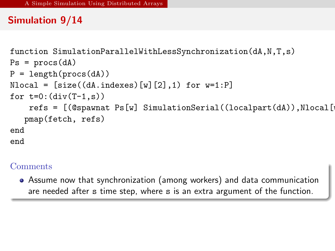# Simulation 9/14

```
function SimulationParallelWithLessSynchronization(dA,N,T,s)
Ps = process(dA)P = length(procs(dA))Nlocal = [size((dA.indexes) [w] [2], 1) for w=1:P]for t=0: \left(\text{div}(T-1,s)\right)refs = [(@spawnat Ps[w] SimilarianSerial((local part(dA)), Nlocal[pmap(fetch, refs)
end
end
```
#### Comments

<span id="page-82-0"></span>Assume now that synchronization (among workers) and data communication are needed after s time step, where s is an extra argument of the function.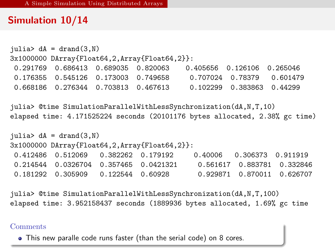### Simulation 10/14

```
julus > dA = dramd(3,N)3x1000000 DArray{Float64,2,Array{Float64,2}}:
0.291769 0.686413 0.689035 0.820063 0.405656 0.126106 0.265046
0.176355 0.545126 0.173003 0.749658 0.707024 0.78379 0.601479
0.668186 0.276344 0.703813 0.467613 0.102299 0.383863 0.44299
```
julia> @time SimulationParallelWithLessSynchronization(dA,N,T,10) elapsed time: 4.171525224 seconds (20101176 bytes allocated, 2.38% gc time)

```
julia> dA = \text{drand}(3,N)3x1000000 DArray{Float64,2,Array{Float64,2}}:
0.412486 0.512069 0.382262 0.179192 0.40006 0.306373 0.911919
0.214544 0.0326704 0.357465 0.0421321 0.561617 0.883781 0.332846
0.181292 0.305909 0.122544 0.60928 0.929871 0.870011 0.626707
```
julia> @time SimulationParallelWithLessSynchronization(dA,N,T,100) elapsed time: 3.952158437 seconds (1889936 bytes allocated, 1.69% gc time

#### **Comments**

<span id="page-83-0"></span>This new paralle code runs faster (than the serial code) on 8 cores.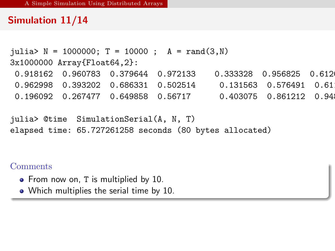## Simulation 11/14

```
julia> N = 1000000; T = 10000; A = rand(3,N)3x1000000 Array{Float64,2}:
0.918162  0.960783  0.379644  0.972133  0.333328  0.956825  0.612
0.962998  0.393202  0.686331  0.502514  0.131563  0.576491  0.61
0.196092  0.267477  0.649858  0.56717  0.403075  0.861212  0.94
```

```
julia> @time SimulationSerial(A, N, T)
elapsed time: 65.727261258 seconds (80 bytes allocated)
```
- From now on, T is multiplied by 10.
- <span id="page-84-0"></span>• Which multiplies the serial time by 10.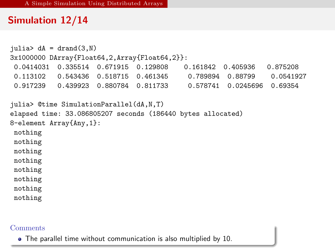## Simulation 12/14

```
julus > dA = dramd(3,N)3x1000000 DArray{Float64,2,Array{Float64,2}}:
0.0414031  0.335514  0.671915  0.129808
0.113102 0.543436 0.518715 0.461345 0.789894 0.88799 0.0541927
0.917239  0.439923  0.880784  0.811733
julia> @time SimulationParallel(dA,N,T)
elapsed time: 33.086805207 seconds (186440 bytes allocated)
8-element Array{Any,1}:
nothing
nothing
nothing
nothing
nothing
nothing
nothing
nothing
```
#### **Comments**

<span id="page-85-0"></span>The parallel time without communication is also multiplied by 10.